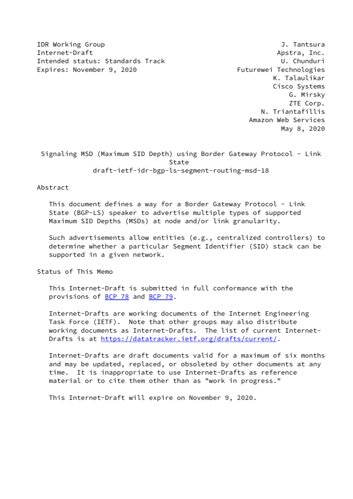IDR Working Group **J. Tantsura** J. Tantsura Internet-Draft Apstra, Inc. Intended status: Standards Track U. Chunduri Expires: November 9, 2020 Futurewei Technologies

 K. Talaulikar Cisco Systems G. Mirsky ZTE Corp. N. Triantafillis Amazon Web Services May 8, 2020

 Signaling MSD (Maximum SID Depth) using Border Gateway Protocol - Link State draft-ietf-idr-bgp-ls-segment-routing-msd-18

Abstract

 This document defines a way for a Border Gateway Protocol - Link State (BGP-LS) speaker to advertise multiple types of supported Maximum SID Depths (MSDs) at node and/or link granularity.

 Such advertisements allow entities (e.g., centralized controllers) to determine whether a particular Segment Identifier (SID) stack can be supported in a given network.

Status of This Memo

 This Internet-Draft is submitted in full conformance with the provisions of [BCP 78](https://datatracker.ietf.org/doc/pdf/bcp78) and [BCP 79](https://datatracker.ietf.org/doc/pdf/bcp79).

 Internet-Drafts are working documents of the Internet Engineering Task Force (IETF). Note that other groups may also distribute working documents as Internet-Drafts. The list of current Internet- Drafts is at<https://datatracker.ietf.org/drafts/current/>.

 Internet-Drafts are draft documents valid for a maximum of six months and may be updated, replaced, or obsoleted by other documents at any time. It is inappropriate to use Internet-Drafts as reference material or to cite them other than as "work in progress."

This Internet-Draft will expire on November 9, 2020.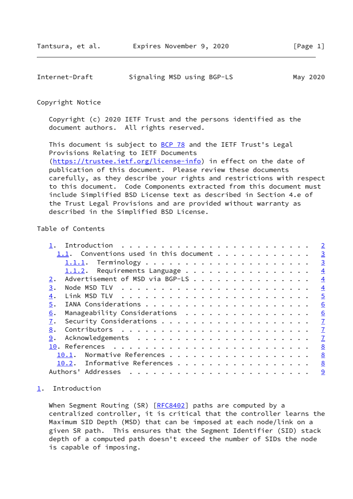<span id="page-1-1"></span>

| Internet-Draft | Signaling MSD using BGP-LS | May 2020 |
|----------------|----------------------------|----------|
|                |                            |          |

### Copyright Notice

 Copyright (c) 2020 IETF Trust and the persons identified as the document authors. All rights reserved.

This document is subject to **[BCP 78](https://datatracker.ietf.org/doc/pdf/bcp78)** and the IETF Trust's Legal Provisions Relating to IETF Documents [\(https://trustee.ietf.org/license-info](https://trustee.ietf.org/license-info)) in effect on the date of publication of this document. Please review these documents carefully, as they describe your rights and restrictions with respect to this document. Code Components extracted from this document must include Simplified BSD License text as described in Section 4.e of the Trust Legal Provisions and are provided without warranty as described in the Simplified BSD License.

# Table of Contents

|    |       |                                        |  |  |  |  |  |  |  |  |  | $\overline{2}$ |
|----|-------|----------------------------------------|--|--|--|--|--|--|--|--|--|----------------|
|    |       | 1.1. Conventions used in this document |  |  |  |  |  |  |  |  |  | $\overline{3}$ |
|    |       |                                        |  |  |  |  |  |  |  |  |  | $\overline{3}$ |
|    |       | 1.1.2. Requirements Language           |  |  |  |  |  |  |  |  |  | $\overline{4}$ |
| 2. |       | Advertisement of MSD via BGP-LS        |  |  |  |  |  |  |  |  |  | $\overline{4}$ |
| 3. |       |                                        |  |  |  |  |  |  |  |  |  | $\overline{4}$ |
| 4. |       |                                        |  |  |  |  |  |  |  |  |  | $\overline{5}$ |
| 5. |       |                                        |  |  |  |  |  |  |  |  |  | 6              |
| 6. |       | Manageability Considerations           |  |  |  |  |  |  |  |  |  | 6              |
| 7. |       |                                        |  |  |  |  |  |  |  |  |  | $\overline{1}$ |
| 8. |       |                                        |  |  |  |  |  |  |  |  |  | $\overline{1}$ |
| 9. |       |                                        |  |  |  |  |  |  |  |  |  | $\overline{1}$ |
|    |       |                                        |  |  |  |  |  |  |  |  |  | 8              |
|    | 10.1. | Normative References                   |  |  |  |  |  |  |  |  |  | 8              |
|    |       | 10.2. Informative References           |  |  |  |  |  |  |  |  |  | 8              |
|    |       | Authors' Addresses                     |  |  |  |  |  |  |  |  |  | $\overline{9}$ |

## <span id="page-1-0"></span>[1](#page-1-0). Introduction

When Segment Routing (SR) [[RFC8402](https://datatracker.ietf.org/doc/pdf/rfc8402)] paths are computed by a centralized controller, it is critical that the controller learns the Maximum SID Depth (MSD) that can be imposed at each node/link on a given SR path. This ensures that the Segment Identifier (SID) stack depth of a computed path doesn't exceed the number of SIDs the node is capable of imposing.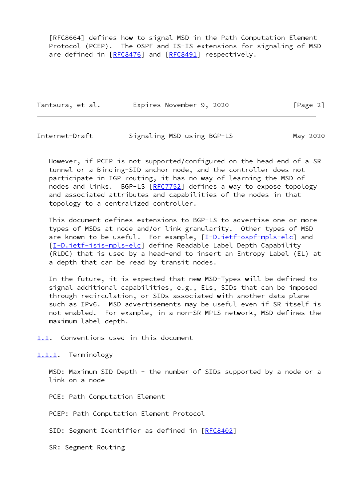[RFC8664] defines how to signal MSD in the Path Computation Element Protocol (PCEP). The OSPF and IS-IS extensions for signaling of MSD are defined in [\[RFC8476](https://datatracker.ietf.org/doc/pdf/rfc8476)] and [\[RFC8491](https://datatracker.ietf.org/doc/pdf/rfc8491)] respectively.

|  | Tantsura, et al. | Expires November 9, 2020 | [Page 2] |
|--|------------------|--------------------------|----------|
|--|------------------|--------------------------|----------|

<span id="page-2-1"></span>Internet-Draft Signaling MSD using BGP-LS May 2020

 However, if PCEP is not supported/configured on the head-end of a SR tunnel or a Binding-SID anchor node, and the controller does not participate in IGP routing, it has no way of learning the MSD of nodes and links. BGP-LS [\[RFC7752](https://datatracker.ietf.org/doc/pdf/rfc7752)] defines a way to expose topology and associated attributes and capabilities of the nodes in that topology to a centralized controller.

 This document defines extensions to BGP-LS to advertise one or more types of MSDs at node and/or link granularity. Other types of MSD are known to be useful. For example,  $[I-D.iett-spfs-elc]$  and [\[I-D.ietf-isis-mpls-elc](#page-8-3)] define Readable Label Depth Capability (RLDC) that is used by a head-end to insert an Entropy Label (EL) at a depth that can be read by transit nodes.

 In the future, it is expected that new MSD-Types will be defined to signal additional capabilities, e.g., ELs, SIDs that can be imposed through recirculation, or SIDs associated with another data plane such as IPv6. MSD advertisements may be useful even if SR itself is not enabled. For example, in a non-SR MPLS network, MSD defines the maximum label depth.

<span id="page-2-0"></span>[1.1](#page-2-0). Conventions used in this document

<span id="page-2-2"></span>[1.1.1](#page-2-2). Terminology

MSD: Maximum SID Depth - the number of SIDs supported by a node or a link on a node

PCE: Path Computation Element

PCEP: Path Computation Element Protocol

SID: Segment Identifier as defined in [[RFC8402](https://datatracker.ietf.org/doc/pdf/rfc8402)]

SR: Segment Routing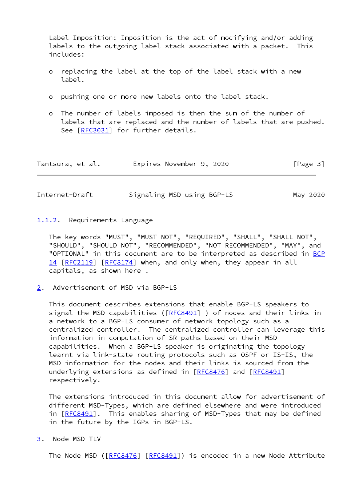Label Imposition: Imposition is the act of modifying and/or adding labels to the outgoing label stack associated with a packet. This includes:

- o replacing the label at the top of the label stack with a new label.
- o pushing one or more new labels onto the label stack.
- o The number of labels imposed is then the sum of the number of labels that are replaced and the number of labels that are pushed. See [\[RFC3031](https://datatracker.ietf.org/doc/pdf/rfc3031)] for further details.

| Tantsura, et al. | Expires November 9, 2020 |  |  | [Page 3] |  |
|------------------|--------------------------|--|--|----------|--|
|------------------|--------------------------|--|--|----------|--|

<span id="page-3-1"></span>Internet-Draft Signaling MSD using BGP-LS May 2020

#### <span id="page-3-0"></span>[1.1.2](#page-3-0). Requirements Language

 The key words "MUST", "MUST NOT", "REQUIRED", "SHALL", "SHALL NOT", "SHOULD", "SHOULD NOT", "RECOMMENDED", "NOT RECOMMENDED", "MAY", and "OPTIONAL" in this document are to be interpreted as described in [BCP](https://datatracker.ietf.org/doc/pdf/bcp14) [14](https://datatracker.ietf.org/doc/pdf/bcp14) [[RFC2119\]](https://datatracker.ietf.org/doc/pdf/rfc2119) [\[RFC8174](https://datatracker.ietf.org/doc/pdf/rfc8174)] when, and only when, they appear in all capitals, as shown here .

<span id="page-3-2"></span>[2](#page-3-2). Advertisement of MSD via BGP-LS

 This document describes extensions that enable BGP-LS speakers to signal the MSD capabilities ( $[REC8491]$  ) of nodes and their links in a network to a BGP-LS consumer of network topology such as a centralized controller. The centralized controller can leverage this information in computation of SR paths based on their MSD capabilities. When a BGP-LS speaker is originating the topology learnt via link-state routing protocols such as OSPF or IS-IS, the MSD information for the nodes and their links is sourced from the underlying extensions as defined in [\[RFC8476](https://datatracker.ietf.org/doc/pdf/rfc8476)] and [[RFC8491](https://datatracker.ietf.org/doc/pdf/rfc8491)] respectively.

 The extensions introduced in this document allow for advertisement of different MSD-Types, which are defined elsewhere and were introduced in [[RFC8491\]](https://datatracker.ietf.org/doc/pdf/rfc8491). This enables sharing of MSD-Types that may be defined in the future by the IGPs in BGP-LS.

<span id="page-3-3"></span>[3](#page-3-3). Node MSD TLV

The Node MSD ([[RFC8476](https://datatracker.ietf.org/doc/pdf/rfc8476)] [\[RFC8491](https://datatracker.ietf.org/doc/pdf/rfc8491)]) is encoded in a new Node Attribute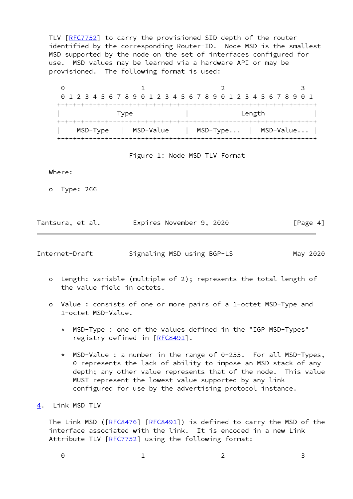TLV [\[RFC7752](https://datatracker.ietf.org/doc/pdf/rfc7752)] to carry the provisioned SID depth of the router identified by the corresponding Router-ID. Node MSD is the smallest MSD supported by the node on the set of interfaces configured for use. MSD values may be learned via a hardware API or may be provisioned. The following format is used:

 $0$  1 2 3 0 1 2 3 4 5 6 7 8 9 0 1 2 3 4 5 6 7 8 9 0 1 2 3 4 5 6 7 8 9 0 1 +-+-+-+-+-+-+-+-+-+-+-+-+-+-+-+-+-+-+-+-+-+-+-+-+-+-+-+-+-+-+-+-+ | Type | Length | +-+-+-+-+-+-+-+-+-+-+-+-+-+-+-+-+-+-+-+-+-+-+-+-+-+-+-+-+-+-+-+-+ | MSD-Type | MSD-Value | MSD-Type... | MSD-Value... | +-+-+-+-+-+-+-+-+-+-+-+-+-+-+-+-+-+-+-+-+-+-+-+-+-+-+-+-+-+-+-+-+

Figure 1: Node MSD TLV Format

Where:

o Type: 266

| Tantsura, et al. | Expires November 9, 2020 |  | [Page 4] |
|------------------|--------------------------|--|----------|
|------------------|--------------------------|--|----------|

<span id="page-4-1"></span>Internet-Draft Signaling MSD using BGP-LS May 2020

- o Length: variable (multiple of 2); represents the total length of the value field in octets.
- o Value : consists of one or more pairs of a 1-octet MSD-Type and 1-octet MSD-Value.
	- \* MSD-Type : one of the values defined in the "IGP MSD-Types" registry defined in [[RFC8491](https://datatracker.ietf.org/doc/pdf/rfc8491)].
	- \* MSD-Value : a number in the range of 0-255. For all MSD-Types, 0 represents the lack of ability to impose an MSD stack of any depth; any other value represents that of the node. This value MUST represent the lowest value supported by any link configured for use by the advertising protocol instance.

<span id="page-4-0"></span>[4](#page-4-0). Link MSD TLV

The Link MSD ([[RFC8476](https://datatracker.ietf.org/doc/pdf/rfc8476)] [\[RFC8491](https://datatracker.ietf.org/doc/pdf/rfc8491)]) is defined to carry the MSD of the interface associated with the link. It is encoded in a new Link Attribute TLV [[RFC7752](https://datatracker.ietf.org/doc/pdf/rfc7752)] using the following format:

| $\Theta$ |  |  |
|----------|--|--|
|          |  |  |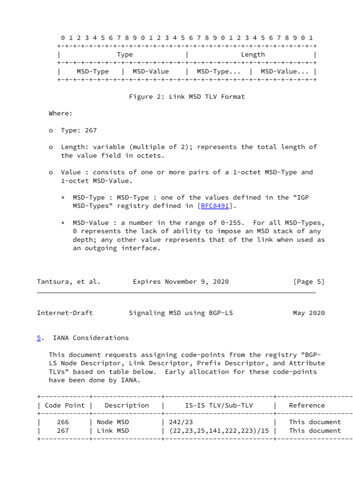|  |  |  |          |  |      |  |           |  |  |  |  |  |  |        |  | 0 1 2 3 4 5 6 7 8 9 0 1 2 3 4 5 6 7 8 9 0 1 2 3 4 5 6 7 8 9 0 1 |                          |
|--|--|--|----------|--|------|--|-----------|--|--|--|--|--|--|--------|--|-----------------------------------------------------------------|--------------------------|
|  |  |  |          |  |      |  |           |  |  |  |  |  |  |        |  |                                                                 |                          |
|  |  |  |          |  | Type |  |           |  |  |  |  |  |  | Length |  |                                                                 |                          |
|  |  |  |          |  |      |  |           |  |  |  |  |  |  |        |  |                                                                 |                          |
|  |  |  | MSD-Type |  |      |  | MSD-Value |  |  |  |  |  |  |        |  |                                                                 | $MSD-Type$   $MSD-Value$ |
|  |  |  |          |  |      |  |           |  |  |  |  |  |  |        |  |                                                                 |                          |

Figure 2: Link MSD TLV Format

Where:

- o Type: 267
- o Length: variable (multiple of 2); represents the total length of the value field in octets.
- o Value : consists of one or more pairs of a 1-octet MSD-Type and 1-octet MSD-Value.
	- \* MSD-Type : MSD-Type : one of the values defined in the "IGP MSD-Types" registry defined in [\[RFC8491](https://datatracker.ietf.org/doc/pdf/rfc8491)].
	- \* MSD-Value : a number in the range of 0-255. For all MSD-Types, 0 represents the lack of ability to impose an MSD stack of any depth; any other value represents that of the link when used as an outgoing interface.

| Tantsura, et al. | Expires November 9, 2020 | [Page 5] |
|------------------|--------------------------|----------|
|                  |                          |          |

<span id="page-5-1"></span>

| Internet-Draft |  | Signaling MSD using BGP-LS | May 2020 |
|----------------|--|----------------------------|----------|
|----------------|--|----------------------------|----------|

### <span id="page-5-0"></span>[5](#page-5-0). IANA Considerations

 This document requests assigning code-points from the registry "BGP- LS Node Descriptor, Link Descriptor, Prefix Descriptor, and Attribute TLVs" based on table below. Early allocation for these code-points have been done by IANA.

| Code Point | Description | IS-IS TLV/Sub-TLV                | Reference     |
|------------|-------------|----------------------------------|---------------|
| 266        | Node MSD    | 242/23                           | This document |
| 267        | Link MSD    | (22, 23, 25, 141, 222, 223) / 15 | This document |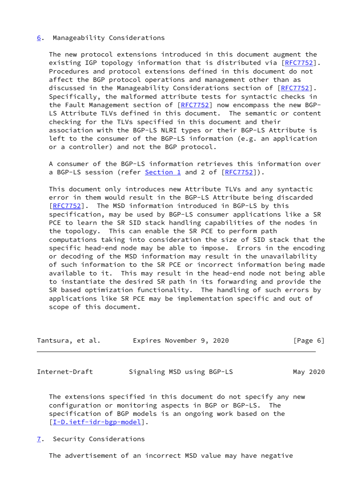### <span id="page-6-0"></span>[6](#page-6-0). Manageability Considerations

 The new protocol extensions introduced in this document augment the existing IGP topology information that is distributed via [[RFC7752](https://datatracker.ietf.org/doc/pdf/rfc7752)]. Procedures and protocol extensions defined in this document do not affect the BGP protocol operations and management other than as discussed in the Manageability Considerations section of [\[RFC7752](https://datatracker.ietf.org/doc/pdf/rfc7752)]. Specifically, the malformed attribute tests for syntactic checks in the Fault Management section of [\[RFC7752](https://datatracker.ietf.org/doc/pdf/rfc7752)] now encompass the new BGP- LS Attribute TLVs defined in this document. The semantic or content checking for the TLVs specified in this document and their association with the BGP-LS NLRI types or their BGP-LS Attribute is left to the consumer of the BGP-LS information (e.g. an application or a controller) and not the BGP protocol.

 A consumer of the BGP-LS information retrieves this information over a BGP-LS session (refer [Section 1](#page-1-0) and 2 of [[RFC7752\]](https://datatracker.ietf.org/doc/pdf/rfc7752)).

 This document only introduces new Attribute TLVs and any syntactic error in them would result in the BGP-LS Attribute being discarded [\[RFC7752](https://datatracker.ietf.org/doc/pdf/rfc7752)]. The MSD information introduced in BGP-LS by this specification, may be used by BGP-LS consumer applications like a SR PCE to learn the SR SID stack handling capabilities of the nodes in the topology. This can enable the SR PCE to perform path computations taking into consideration the size of SID stack that the specific head-end node may be able to impose. Errors in the encoding or decoding of the MSD information may result in the unavailability of such information to the SR PCE or incorrect information being made available to it. This may result in the head-end node not being able to instantiate the desired SR path in its forwarding and provide the SR based optimization functionality. The handling of such errors by applications like SR PCE may be implementation specific and out of scope of this document.

| Tantsura, et al. | Expires November 9, 2020 | [Page 6] |
|------------------|--------------------------|----------|
|------------------|--------------------------|----------|

<span id="page-6-2"></span>Internet-Draft Signaling MSD using BGP-LS May 2020

 The extensions specified in this document do not specify any new configuration or monitoring aspects in BGP or BGP-LS. The specification of BGP models is an ongoing work based on the [\[I-D.ietf-idr-bgp-model](#page-8-4)].

## <span id="page-6-1"></span>[7](#page-6-1). Security Considerations

The advertisement of an incorrect MSD value may have negative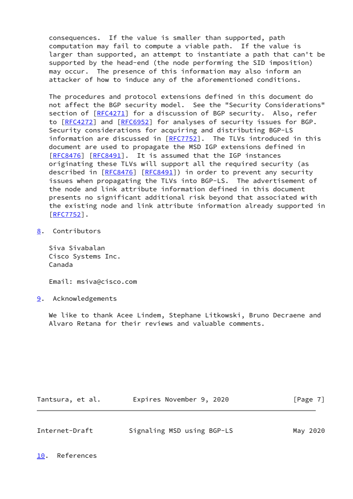consequences. If the value is smaller than supported, path computation may fail to compute a viable path. If the value is larger than supported, an attempt to instantiate a path that can't be supported by the head-end (the node performing the SID imposition) may occur. The presence of this information may also inform an attacker of how to induce any of the aforementioned conditions.

 The procedures and protocol extensions defined in this document do not affect the BGP security model. See the "Security Considerations" section of  $[REC4271]$  for a discussion of BGP security. Also, refer to [[RFC4272\]](https://datatracker.ietf.org/doc/pdf/rfc4272) and [\[RFC6952](https://datatracker.ietf.org/doc/pdf/rfc6952)] for analyses of security issues for BGP. Security considerations for acquiring and distributing BGP-LS information are discussed in [\[RFC7752](https://datatracker.ietf.org/doc/pdf/rfc7752)]. The TLVs introduced in this document are used to propagate the MSD IGP extensions defined in [\[RFC8476](https://datatracker.ietf.org/doc/pdf/rfc8476)] [[RFC8491](https://datatracker.ietf.org/doc/pdf/rfc8491)]. It is assumed that the IGP instances originating these TLVs will support all the required security (as described in [\[RFC8476](https://datatracker.ietf.org/doc/pdf/rfc8476)] [\[RFC8491](https://datatracker.ietf.org/doc/pdf/rfc8491)]) in order to prevent any security issues when propagating the TLVs into BGP-LS. The advertisement of the node and link attribute information defined in this document presents no significant additional risk beyond that associated with the existing node and link attribute information already supported in [\[RFC7752](https://datatracker.ietf.org/doc/pdf/rfc7752)].

## <span id="page-7-0"></span>[8](#page-7-0). Contributors

 Siva Sivabalan Cisco Systems Inc. Canada

Email: msiva@cisco.com

<span id="page-7-1"></span>[9](#page-7-1). Acknowledgements

 We like to thank Acee Lindem, Stephane Litkowski, Bruno Decraene and Alvaro Retana for their reviews and valuable comments.

| Tantsura, et al. | Expires November 9, 2020 |  | [Page 7] |
|------------------|--------------------------|--|----------|
|                  |                          |  |          |

<span id="page-7-3"></span><span id="page-7-2"></span>

| Internet-Draft | Signaling MSD using BGP-LS |  | May 2020 |
|----------------|----------------------------|--|----------|
|                |                            |  |          |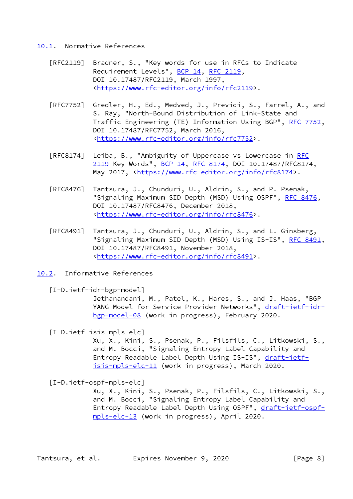#### <span id="page-8-0"></span>[10.1](#page-8-0). Normative References

- [RFC2119] Bradner, S., "Key words for use in RFCs to Indicate Requirement Levels", [BCP 14](https://datatracker.ietf.org/doc/pdf/bcp14), [RFC 2119](https://datatracker.ietf.org/doc/pdf/rfc2119), DOI 10.17487/RFC2119, March 1997, <[https://www.rfc-editor.org/info/rfc2119>](https://www.rfc-editor.org/info/rfc2119).
- [RFC7752] Gredler, H., Ed., Medved, J., Previdi, S., Farrel, A., and S. Ray, "North-Bound Distribution of Link-State and Traffic Engineering (TE) Information Using BGP", [RFC 7752,](https://datatracker.ietf.org/doc/pdf/rfc7752) DOI 10.17487/RFC7752, March 2016, <[https://www.rfc-editor.org/info/rfc7752>](https://www.rfc-editor.org/info/rfc7752).
- [RFC8174] Leiba, B., "Ambiguity of Uppercase vs Lowercase in [RFC](https://datatracker.ietf.org/doc/pdf/rfc2119) [2119](https://datatracker.ietf.org/doc/pdf/rfc2119) Key Words", [BCP 14](https://datatracker.ietf.org/doc/pdf/bcp14), [RFC 8174,](https://datatracker.ietf.org/doc/pdf/rfc8174) DOI 10.17487/RFC8174, May 2017, [<https://www.rfc-editor.org/info/rfc8174](https://www.rfc-editor.org/info/rfc8174)>.
- [RFC8476] Tantsura, J., Chunduri, U., Aldrin, S., and P. Psenak, "Signaling Maximum SID Depth (MSD) Using OSPF", [RFC 8476,](https://datatracker.ietf.org/doc/pdf/rfc8476) DOI 10.17487/RFC8476, December 2018, <[https://www.rfc-editor.org/info/rfc8476>](https://www.rfc-editor.org/info/rfc8476).
- [RFC8491] Tantsura, J., Chunduri, U., Aldrin, S., and L. Ginsberg, "Signaling Maximum SID Depth (MSD) Using IS-IS", [RFC 8491,](https://datatracker.ietf.org/doc/pdf/rfc8491) DOI 10.17487/RFC8491, November 2018, <[https://www.rfc-editor.org/info/rfc8491>](https://www.rfc-editor.org/info/rfc8491).
- <span id="page-8-1"></span>[10.2](#page-8-1). Informative References

<span id="page-8-4"></span>[I-D.ietf-idr-bgp-model]

 Jethanandani, M., Patel, K., Hares, S., and J. Haas, "BGP YANG Model for Service Provider Networks", [draft-ietf-idr](https://datatracker.ietf.org/doc/pdf/draft-ietf-idr-bgp-model-08) [bgp-model-08](https://datatracker.ietf.org/doc/pdf/draft-ietf-idr-bgp-model-08) (work in progress), February 2020.

<span id="page-8-3"></span>[I-D.ietf-isis-mpls-elc]

 Xu, X., Kini, S., Psenak, P., Filsfils, C., Litkowski, S., and M. Bocci, "Signaling Entropy Label Capability and Entropy Readable Label Depth Using IS-IS", [draft-ietf](https://datatracker.ietf.org/doc/pdf/draft-ietf-isis-mpls-elc-11) [isis-mpls-elc-11](https://datatracker.ietf.org/doc/pdf/draft-ietf-isis-mpls-elc-11) (work in progress), March 2020.

<span id="page-8-2"></span>[I-D.ietf-ospf-mpls-elc]

 Xu, X., Kini, S., Psenak, P., Filsfils, C., Litkowski, S., and M. Bocci, "Signaling Entropy Label Capability and Entropy Readable Label Depth Using OSPF", [draft-ietf-ospf](https://datatracker.ietf.org/doc/pdf/draft-ietf-ospf-mpls-elc-13) [mpls-elc-13](https://datatracker.ietf.org/doc/pdf/draft-ietf-ospf-mpls-elc-13) (work in progress), April 2020.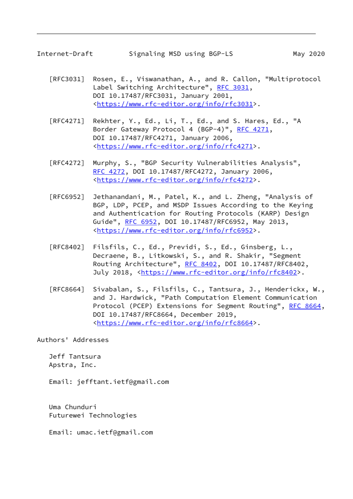- <span id="page-9-0"></span> [RFC3031] Rosen, E., Viswanathan, A., and R. Callon, "Multiprotocol Label Switching Architecture", [RFC 3031](https://datatracker.ietf.org/doc/pdf/rfc3031), DOI 10.17487/RFC3031, January 2001, <[https://www.rfc-editor.org/info/rfc3031>](https://www.rfc-editor.org/info/rfc3031).
- [RFC4271] Rekhter, Y., Ed., Li, T., Ed., and S. Hares, Ed., "A Border Gateway Protocol 4 (BGP-4)", [RFC 4271,](https://datatracker.ietf.org/doc/pdf/rfc4271) DOI 10.17487/RFC4271, January 2006, <[https://www.rfc-editor.org/info/rfc4271>](https://www.rfc-editor.org/info/rfc4271).
- [RFC4272] Murphy, S., "BGP Security Vulnerabilities Analysis", [RFC 4272,](https://datatracker.ietf.org/doc/pdf/rfc4272) DOI 10.17487/RFC4272, January 2006, <[https://www.rfc-editor.org/info/rfc4272>](https://www.rfc-editor.org/info/rfc4272).
- [RFC6952] Jethanandani, M., Patel, K., and L. Zheng, "Analysis of BGP, LDP, PCEP, and MSDP Issues According to the Keying and Authentication for Routing Protocols (KARP) Design Guide", [RFC 6952,](https://datatracker.ietf.org/doc/pdf/rfc6952) DOI 10.17487/RFC6952, May 2013, <[https://www.rfc-editor.org/info/rfc6952>](https://www.rfc-editor.org/info/rfc6952).
- [RFC8402] Filsfils, C., Ed., Previdi, S., Ed., Ginsberg, L., Decraene, B., Litkowski, S., and R. Shakir, "Segment Routing Architecture", [RFC 8402](https://datatracker.ietf.org/doc/pdf/rfc8402), DOI 10.17487/RFC8402, July 2018, <<https://www.rfc-editor.org/info/rfc8402>>.
- [RFC8664] Sivabalan, S., Filsfils, C., Tantsura, J., Henderickx, W., and J. Hardwick, "Path Computation Element Communication Protocol (PCEP) Extensions for Segment Routing", [RFC 8664,](https://datatracker.ietf.org/doc/pdf/rfc8664) DOI 10.17487/RFC8664, December 2019, <[https://www.rfc-editor.org/info/rfc8664>](https://www.rfc-editor.org/info/rfc8664).

Authors' Addresses

 Jeff Tantsura Apstra, Inc.

Email: jefftant.ietf@gmail.com

 Uma Chunduri Futurewei Technologies

Email: umac.ietf@gmail.com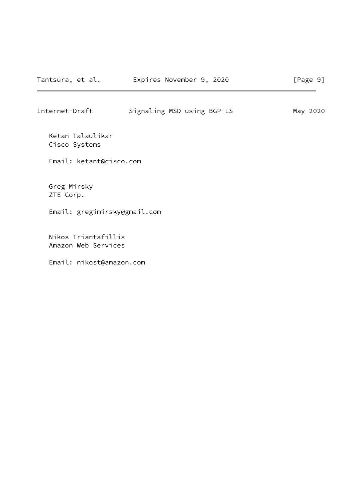Internet-Draft Signaling MSD using BGP-LS May 2020

 Ketan Talaulikar Cisco Systems

Email: ketant@cisco.com

 Greg Mirsky ZTE Corp.

Email: gregimirsky@gmail.com

 Nikos Triantafillis Amazon Web Services

Email: nikost@amazon.com